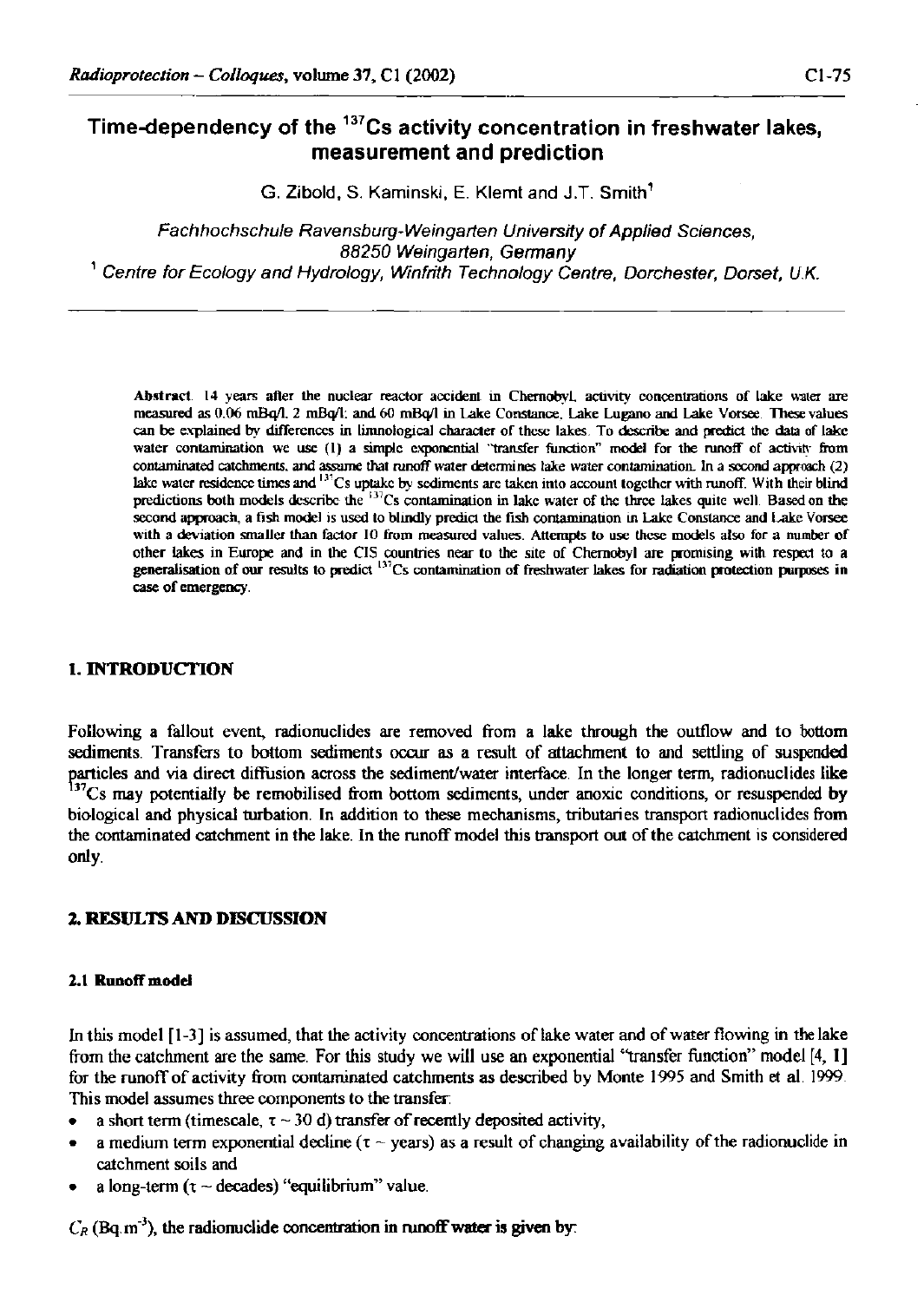# **Time-dependency of the <sup>137</sup>Cs activity concentration in freshwater lakes, measurement and prediction**

**G. Zibold, S. Kaminski, E. Klemt and J.T. Smith<sup>1</sup>**

*Fachhochschule Ravensburg-Weingarten University of Applied Sciences, 88250 Weingarten, Germany 1 Centre for Ecology and Hydrology, Winfrith Technology Centre, Dorchester, Dorset, U.K.* 

**Abstract. 14 years after the nuclear reactor accident in Chernobyl, activity concentrations of lake water are measured as 0.06 mBq/1. 2 mBq/1: and 60 mBq/1 in Lake Constance. Lake Lugano and Lake Vorsee. These values can be explained by differences in limnological character of these lakes. To describe and predict the data of lake**  water contamination we use (1) a simple exponential "transfer function" model for the runoff of activity from **contaminated catchments, and assume that runoff water determines lake water contamination. In a second approach (2)**  lake water residence times and <sup>137</sup>Cs uptake by sediments are taken into account together with runoff. With their blind **predictions both models describe the <sup>137</sup>Cs contamination in lake water of the three lakes quite well Based on the second approach, a fish model is used to blindly predict the fish contamination in Lake Constance and Lake Vorsee**  with a deviation smaller than factor 10 from measured values. Attempts to use these models also for a number of **other lakes in Europe and in the CIS countries near to the site of Chernobyl are promising with respect to a generalisation of our results to predict** <sup>137</sup>Cs contamination of freshwater lakes for radiation protection purposes in **case of emergency.** 

### **I. INTRODUCTION**

Following a fallout event, radionuclides are removed from a lake through the outflow and to bottom sediments. Transfers to bottom sediments occur as a result of attachment to and settling of suspended particles and via direct diffusion across the sediment/water interface. In the longer term, radionuclides like<br><sup>137</sup>Cs may potentially be remobilised from bottom sediments, under anoxic conditions, or resuspended by biological and physical turbation. In addition to these mechanisms, tributaries transport radionuclides from the contaminated catchment in the lake. In the runoff model this transport out of the catchment is considered only.

## **2. RESULTS AND DISCUSSION**

### 2.1 Runoff model

In this model [1-3] is assumed, that the activity concentrations of lake water and of water flowing in the lake from the catchment are the same. For this study we will use an exponential "transfer function" model [4, I] for the runoff of activity from contarninated catchments as described by Monte 1995 and Smith et al. 1999 This model assumes three components to the transfer

- a short term (timescale,  $\tau \sim 30$  d) transfer of recently deposited activity,
- a medium term exponential decline ( $\tau \sim$  years) as a result of changing availability of the radionuclide in catchment soils and
- a long-term *(x* ~ decades) "equilibrium" value.

 $C_R$  (Bq. m<sup>-3</sup>), the radionuclide concentration in runoff water is given by: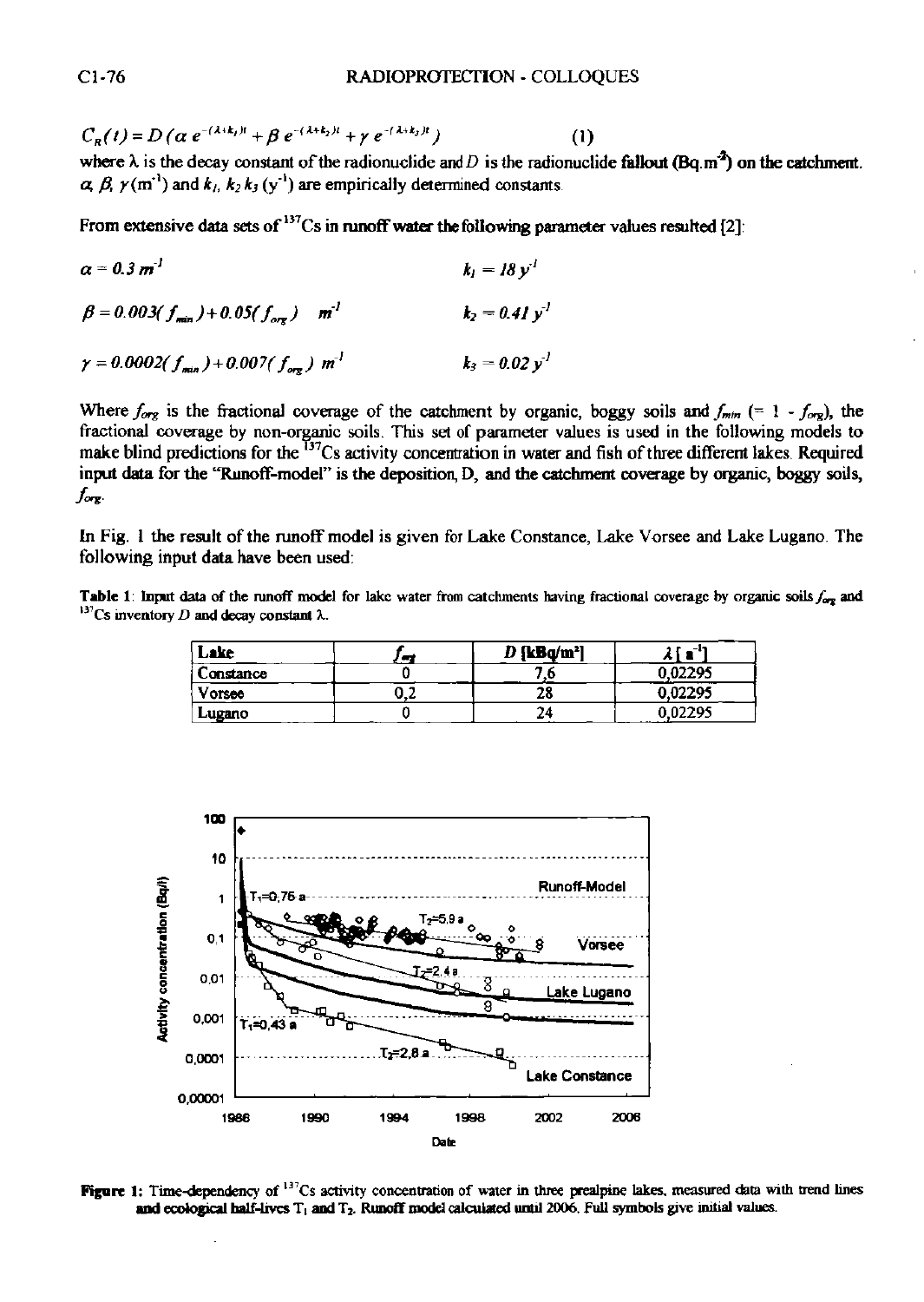$C_R(t) = D(\alpha e^{-(\alpha + \alpha)/\alpha} + \beta e^{-(\alpha + \alpha)/\alpha} + \gamma e^{-(\alpha + \alpha)/\alpha}$  (1) (1)<br>where  $\lambda$  is the decay constant of the radionuclide and *D* is the radionuclide fallout (Bq.m<sup>3</sup>) on the catchment.

From extensive data sets of  $^{137}Cs$  in runoff water the following parameter values resulted [2]:

 $a = 0.3 m<sup>-1</sup>$  $k_1 = 18 \nu^1$  *k, =lBy<sup>l</sup>*  $\beta = 0.003(f) + 0.05(f)$  m<sup>-1</sup> *fi = 0.003(/miJ + 0.05(f^) m' k2=0.4Iy>*   $k_2 = 0.02 y^2$  $\gamma = 0.0002(f_{min}) + 0.007(f_{min})$  m<sup>1</sup>

Where  $f_{org}$  is the fractional coverage of the catchment by organic, boggy soils and  $f_{min}$  (= 1 -  $f_{org}$ ), the fractional coverage by non-organic soils. This set of parameter values is used in the following models to make blind predictions for the "'Cs activity concentration in water and fish of three different lakes. Required input data for the "Runoff-model" is the deposition, D, and the catchment coverage by organic, boggy soils,  $f_{\text{org}}$ 

In Fig. 1 the result of the runoff model is given for Lake Constance, Lake Vorsee and Lake Lugano. The following input data have been used:

Table 1: Input data of the runoff model for lake water from catchments having fractional coverage by organic soils  $f_{\text{err}}$  and l31Cs inventory *D* and decay constant *X.* 

| Lake      | <b>SUP</b> | D {kBa/m <sup>2</sup> ] | -11<br>ı r<br>~ |
|-----------|------------|-------------------------|-----------------|
| Constance |            |                         | 0.02295         |
| Vorsee    | 0.2        | 28                      | 0.02295         |
| Lugano    |            | 24                      | 0.02295<br>.    |



Figure 1: Time-dependency of  $137Cs$  activity concentration of water in three prealpine lakes, measured data with trend lines and ecological half-lives T, and *T2.* Runoff model calculated until 2006. Full symbols give initial values.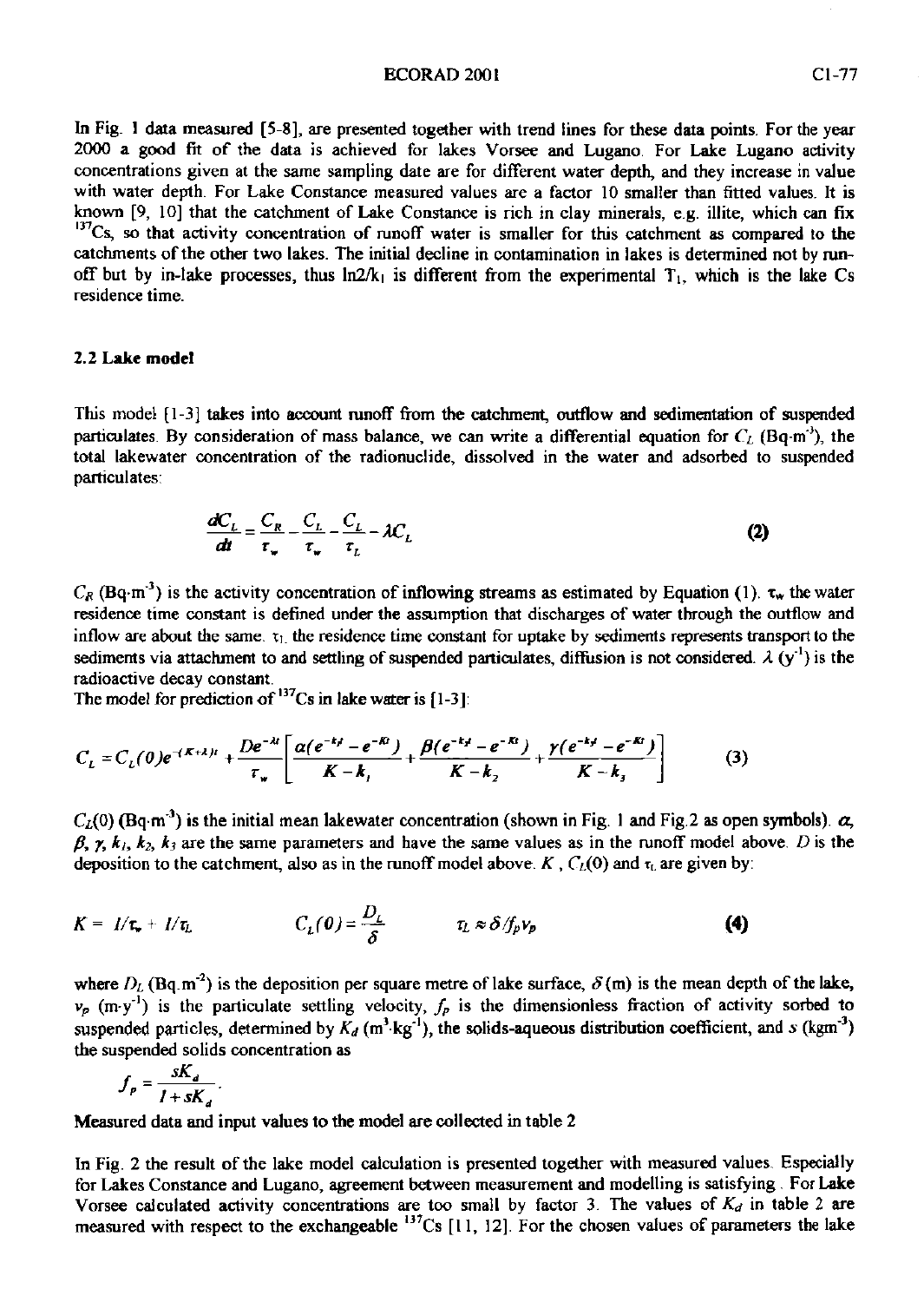#### **ECORAD 2001** CL-77

In Fig. 1 data measured [5-8], are presented together with trend lines for these data points. For the year 2000 a good fit of the data is achieved for lakes Vorsee and Lugano. For Lake Lugano activity concentrations given at the same sampling date are for different water depth, and they increase in value with water depth. For Lake Constance measured values are a factor 10 smaller than fitted values. It is known [9, 10] that the catchment of Lake Constance is rich in clay minerals, e.g. illite, which can fix <sup>137</sup>Cs, so that activity concentration of runoff water is smaller for this catchment as compared to the catchments of the other two lakes. The initial decline in contamination in lakes is determined not by runoff but by in-lake processes, thus  $ln2/k<sub>1</sub>$  is different from the experimental  $T<sub>1</sub>$ , which is the lake Cs residence time.

### **2.2 Lake model**

This model [1-3] takes into account runoff from the catchment, outflow and sedimentation of suspended particulates. By consideration of mass balance, we can write a differential equation for  $C_{\ell}$  (Bq-m<sup>-)</sup>, the total lakewater concentration of the radionuclide, dissolved in the water and adsorbed to suspended particulates:

$$
\frac{dC_t}{dt} = \frac{C_R}{\tau_w} - \frac{C_L}{\tau_w} - \frac{C_L}{\tau_L} - \lambda C_L
$$
\n(2)

 $C_R$  (Bq-m<sup>-3</sup>) is the activity concentration of inflowing streams as estimated by Equation (1),  $\tau_w$  the water residence time constant is defined under the assumption that discharges of water through the outflow and inflow are about the same.  $x_1$ , the residence time constant for uptake by sediments represents transport to the sediments via attachment to and settling of suspended particulates, diffusion is not considered.  $\lambda$  (y<sup>-1</sup>) is the radioactive decay constant.

The model for prediction of  $\cdot$  Cs in lake water is [1-3]:

$$
C_{L} = C_{L}(\theta)e^{-(K+k)t} + \frac{De^{-kt}}{\tau_{w}} \left[ \frac{\alpha(e^{-kt} - e^{-kt})}{K - k_{j}} + \frac{\beta(e^{-kt} - e^{-kt})}{K - k_{z}} + \frac{\gamma(e^{-kt} - e^{-kt})}{K - k_{z}} \right]
$$
(3)

 $C_L(0)$  (Bq-m<sup>-3</sup>) is the initial mean lakewater concentration (shown in Fig. 1 and Fig. 2 as open symbols).  $\alpha$ ,  $\beta$ ,  $\gamma$ ,  $k_1$ ,  $k_2$ ,  $k_3$  are the same parameters and have the same values as in the runoff model above. *D* is the deposition to the catchment, also as in the runoff model above.  $K$ ,  $C_{\ell}(0)$  and  $\tau_{\ell}$  are given by:

$$
K = I/\tau_{\star} + I/\tau_{L} \qquad C_{L}(0) = \frac{D_{L}}{\delta} \qquad \tau_{L} \approx \delta/f_{p}v_{p} \qquad (4)
$$

where  $D_L$  (Bq.m<sup>-2</sup>) is the deposition per square metre of lake surface,  $\delta(m)$  is the mean depth of the lake,  $v_p$  (m-y<sup>-1</sup>) is the particulate settling velocity,  $f_p$  is the dimensionless fraction of activity sorbed to suspended particles, determined by  $K_d$  (m<sup>3</sup>·kg<sup>-1</sup>), the solids-aqueous distribution coefficient, and *s* (kgm<sup>-3</sup>) the suspended solids concentration as

$$
f_p = \frac{sK_d}{1 + sK_d}.
$$

Measured data and input values to the model are collected in table 2

In Fig. 2 the result of the lake model calculation is presented together with measured values. Especially for Lakes Constance and Lugano, agreement between measurement and modelling is satisfying . For Lake Vorsee calculated activity concentrations are too small by factor 3. The values of  $K<sub>d</sub>$  in table 2 are measured with respect to the exchangeable  $^{13}$ Cs [11, 12]. For the chosen values of parameters the lake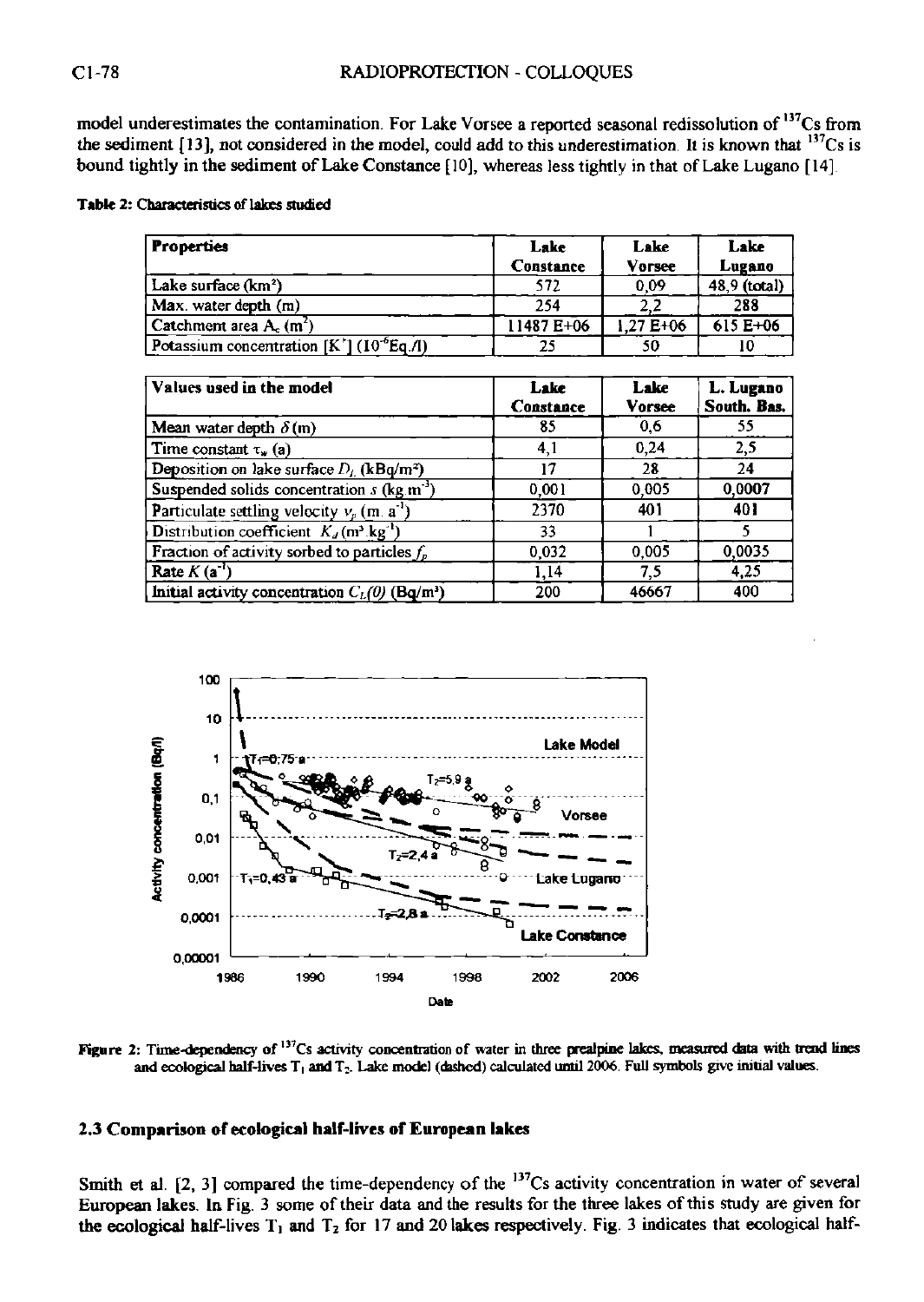model underestimates the contamination. For Lake Vorsee a reported seasonal redissolution of <sup>137</sup>Cs from the sediment  $[13]$ , not considered in the model, could add to this underestimation. It is known that  $\frac{137}{12}$  is bound tightly in the sediment of Lake Constance [10], whereas less tightly in that of Lake Lugano [14]

### **Table 2: Characteristics of lakes studied**

| <b>Properties</b>                                     | Lake       | Lake         | Lake         |
|-------------------------------------------------------|------------|--------------|--------------|
|                                                       | Constance  | Vorsee       | Lugano       |
| Lake surface (km²)                                    | 572        | 0.09         | 48.9 (total) |
| Max. water depth (m)                                  | 254        | 2,2          | 288          |
| Catchment area A <sub>c</sub> (m <sup>2</sup> )       | 11487 E+06 | $1.27E + 06$ | $615E + 06$  |
| Potassium concentration [K'] (10 <sup>-6</sup> Eq./l) | 25         | 50           |              |

| Values used in the model                                                  | Lake<br>Constance | Lake<br><b>Vorsee</b> | L. Lugano<br>South. Bas. |
|---------------------------------------------------------------------------|-------------------|-----------------------|--------------------------|
| Mean water depth $\delta$ (m)                                             | 85                | 0.6                   | 55                       |
| Time constant $\tau_w$ (a)                                                | 4.1               | 0,24                  | 2,5                      |
| Deposition on lake surface $D_L$ (kBq/m <sup>2</sup> )                    | 17                | 28                    | 24                       |
| Suspended solids concentration $s$ (kg.m <sup>-3</sup>                    | 0.001             | 0.005                 | 0.0007                   |
| <b>Particulate settling velocity <math>v_p</math> (m. a<sup>-1</sup>)</b> | 2370              | 401                   | 401                      |
| Distribution coefficient $K_d$ (m <sup>3</sup> kg <sup>-1</sup> )         | 33                |                       |                          |
| Fraction of activity sorbed to particles $f_p$                            | 0,032             | 0.005                 | 0.0035                   |
| Rate $K(a^{\dagger})$                                                     | 1.14              | 7,5                   | 4.25                     |
| Initial activity concentration $C_L(0)$ (Bq/m <sup>3</sup> )              | 200               | 46667                 | 400                      |



Figure 2: Time-dependency of <sup>137</sup>Cs activity concentration of water in three prealpine lakes, measured data with trend lines **and ecological half-lives T, and T; . Lake model (dashed) calculated until 2006. Full symbols give initial values.** 

## **2.3 Comparison of ecological half-lives of European lakes**

Smith et al.  $[2, 3]$  compared the time-dependency of the  $\frac{13}{2}$ Cs activity concentration in water of several European lakes. In Fig. 3 some of their data and the results for the three lakes of this study are given for the ecological half-lives  $T_1$  and  $T_2$  for 17 and 20 lakes respectively. Fig. 3 indicates that ecological half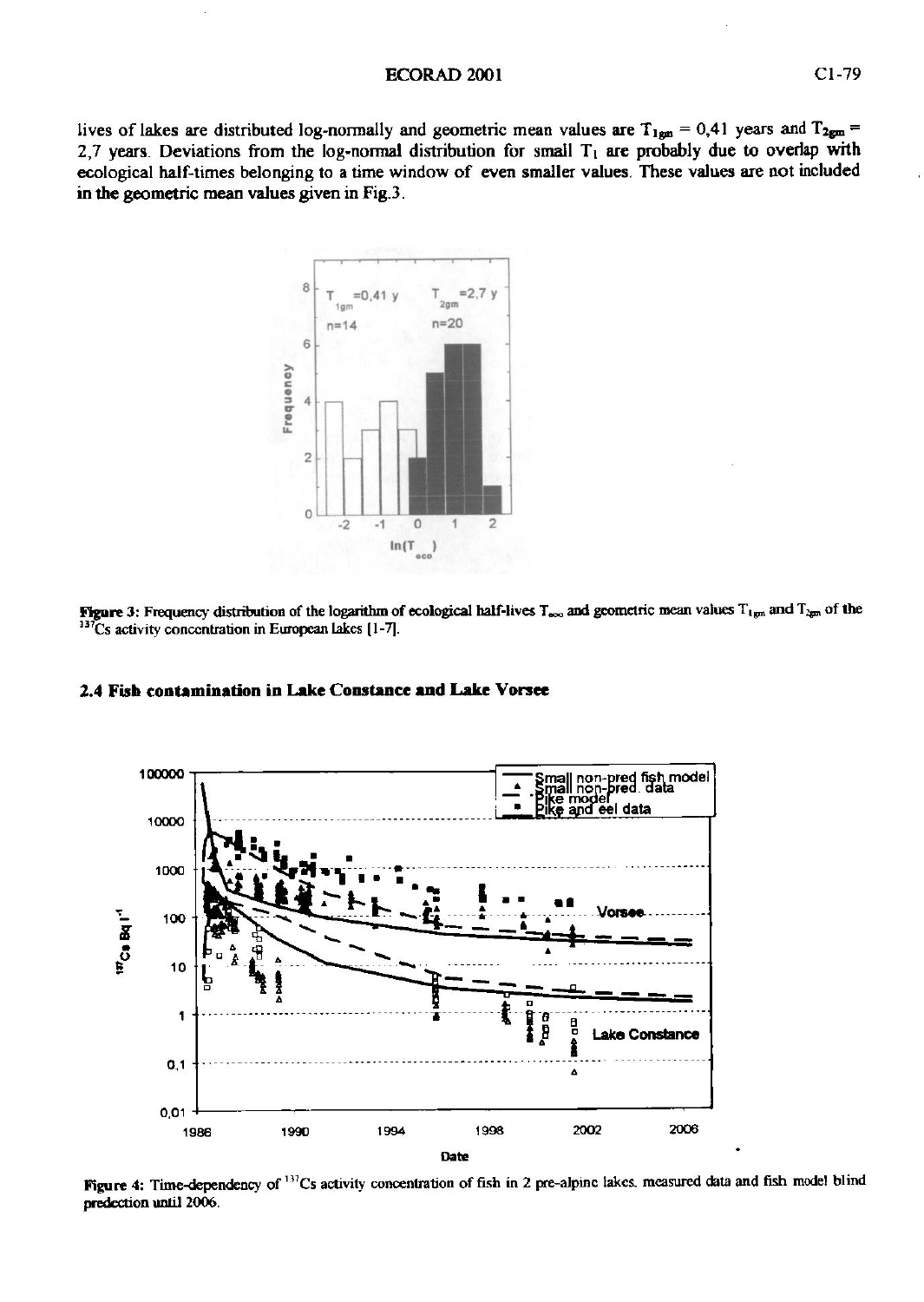lives of lakes are distributed log-normally and geometric mean values are  $T_{1em} = 0.41$  years and  $T_{2gm} =$ 2,7 years. Deviations from the log-normal distribution for small  $T<sub>1</sub>$  are probably due to overlap with ecological half-times belonging to a time window of even smaller values. These values are not included **in** the geometric mean values given in Fig.3.



**Figure 3:** Frequency distribution of the logarithm of ecological half-lives  $T_{\text{geo}}$  and geometric mean values  $T_{\text{typ}}$  and  $T_{\text{sym}}$  of the **<sup>337</sup>Cs activity concentration in European Lakes [1-7].** 



#### **2.4 Fish contamination in Lake Constance and Lake Vorsee**

**Figure 4:** Time-dependency of <sup>13</sup> Cs activity concentration of fish in 2 pre-alpinc lakes, measured data and fish model blind predection until 2006.